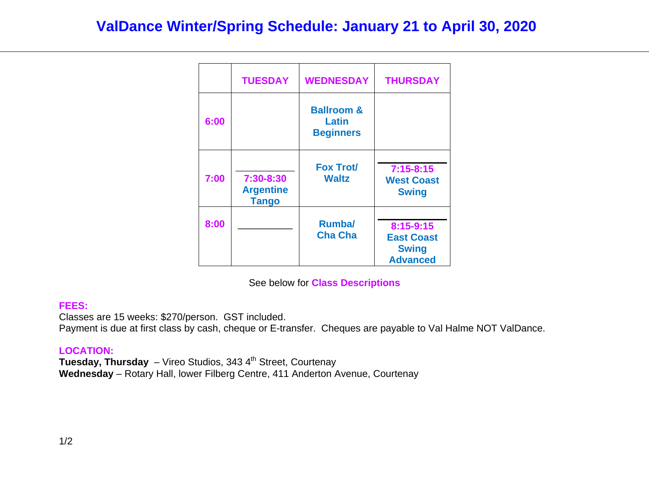## **ValDance Winter/Spring Schedule: January 21 to April 30, 2020**

|      | <b>TUESDAY</b>                                | <b>WEDNESDAY</b>                                   | <b>THURSDAY</b>                                                   |
|------|-----------------------------------------------|----------------------------------------------------|-------------------------------------------------------------------|
| 6:00 |                                               | <b>Ballroom &amp;</b><br>Latin<br><b>Beginners</b> |                                                                   |
| 7:00 | 7:30-8:30<br><b>Argentine</b><br><b>Tango</b> | <b>Fox Trot/</b><br><b>Waltz</b>                   | $7:15 - 8:15$<br><b>West Coast</b><br><b>Swing</b>                |
| 8:00 |                                               | <b>Rumba</b><br><b>Cha Cha</b>                     | 8:15-9:15<br><b>East Coast</b><br><b>Swing</b><br><b>Advanced</b> |

See below for **Class Descriptions** 

## **FEES:**

Classes are 15 weeks: \$270/person. GST included.

Payment is due at first class by cash, cheque or E-transfer. Cheques are payable to Val Halme NOT ValDance.

## **LOCATION:**

**Tuesday, Thursday** – Vireo Studios, 343 4<sup>th</sup> Street, Courtenay **Wednesday** – Rotary Hall, lower Filberg Centre, 411 Anderton Avenue, Courtenay